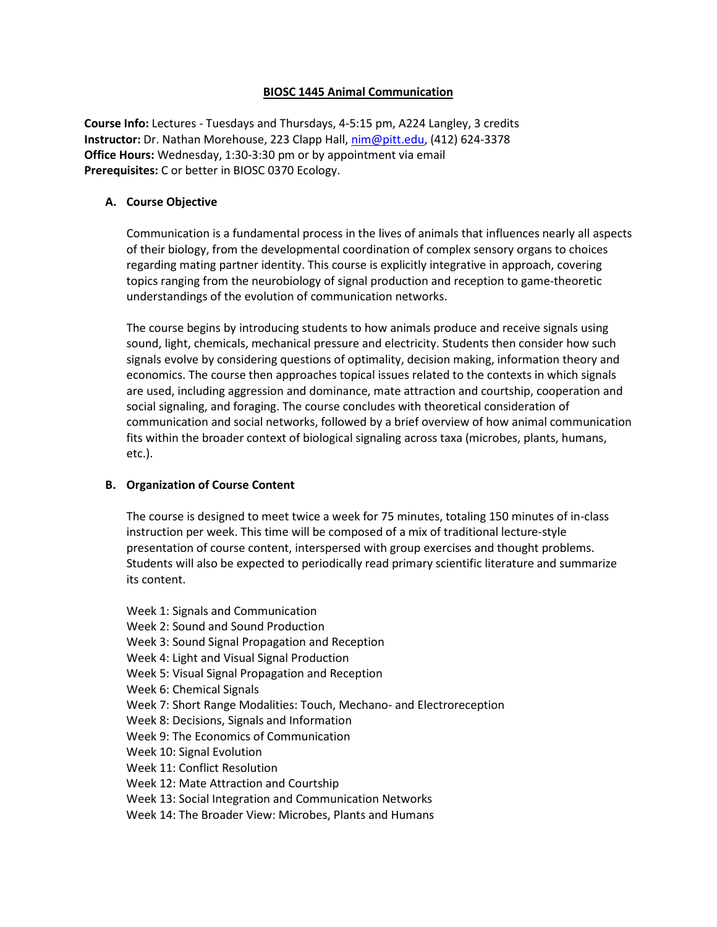# **BIOSC 1445 Animal Communication**

**Course Info:** Lectures - Tuesdays and Thursdays, 4-5:15 pm, A224 Langley, 3 credits **Instructor:** Dr. Nathan Morehouse, 223 Clapp Hall, [nim@pitt.edu,](mailto:nim@pitt.edu) (412) 624-3378 **Office Hours:** Wednesday, 1:30-3:30 pm or by appointment via email **Prerequisites:** C or better in BIOSC 0370 Ecology.

# **A. Course Objective**

Communication is a fundamental process in the lives of animals that influences nearly all aspects of their biology, from the developmental coordination of complex sensory organs to choices regarding mating partner identity. This course is explicitly integrative in approach, covering topics ranging from the neurobiology of signal production and reception to game-theoretic understandings of the evolution of communication networks.

The course begins by introducing students to how animals produce and receive signals using sound, light, chemicals, mechanical pressure and electricity. Students then consider how such signals evolve by considering questions of optimality, decision making, information theory and economics. The course then approaches topical issues related to the contexts in which signals are used, including aggression and dominance, mate attraction and courtship, cooperation and social signaling, and foraging. The course concludes with theoretical consideration of communication and social networks, followed by a brief overview of how animal communication fits within the broader context of biological signaling across taxa (microbes, plants, humans, etc.).

# **B. Organization of Course Content**

The course is designed to meet twice a week for 75 minutes, totaling 150 minutes of in-class instruction per week. This time will be composed of a mix of traditional lecture-style presentation of course content, interspersed with group exercises and thought problems. Students will also be expected to periodically read primary scientific literature and summarize its content.

Week 1: Signals and Communication Week 2: Sound and Sound Production Week 3: Sound Signal Propagation and Reception Week 4: Light and Visual Signal Production Week 5: Visual Signal Propagation and Reception Week 6: Chemical Signals Week 7: Short Range Modalities: Touch, Mechano- and Electroreception Week 8: Decisions, Signals and Information Week 9: The Economics of Communication Week 10: Signal Evolution Week 11: Conflict Resolution Week 12: Mate Attraction and Courtship Week 13: Social Integration and Communication Networks Week 14: The Broader View: Microbes, Plants and Humans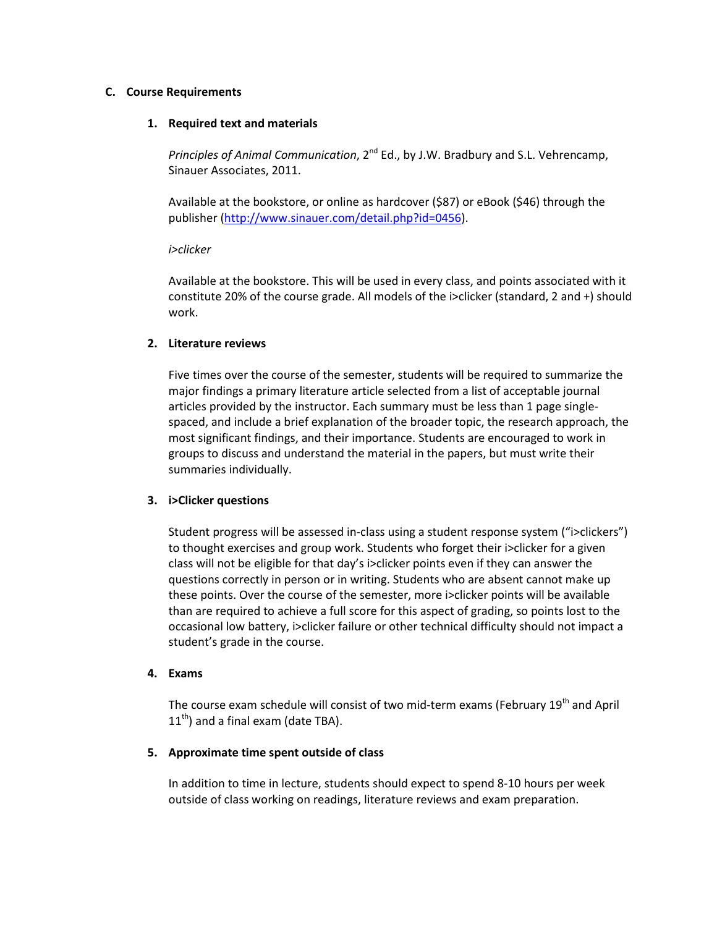### **C. Course Requirements**

### **1. Required text and materials**

*Principles of Animal Communication*, 2nd Ed., by J.W. Bradbury and S.L. Vehrencamp, Sinauer Associates, 2011.

Available at the bookstore, or online as hardcover (\$87) or eBook (\$46) through the publisher [\(http://www.sinauer.com/detail.php?id=0456\)](http://www.sinauer.com/detail.php?id=0456).

#### *i>clicker*

Available at the bookstore. This will be used in every class, and points associated with it constitute 20% of the course grade. All models of the i>clicker (standard, 2 and +) should work.

# **2. Literature reviews**

Five times over the course of the semester, students will be required to summarize the major findings a primary literature article selected from a list of acceptable journal articles provided by the instructor. Each summary must be less than 1 page singlespaced, and include a brief explanation of the broader topic, the research approach, the most significant findings, and their importance. Students are encouraged to work in groups to discuss and understand the material in the papers, but must write their summaries individually.

# **3. i>Clicker questions**

Student progress will be assessed in-class using a student response system ("i>clickers") to thought exercises and group work. Students who forget their i>clicker for a given class will not be eligible for that day's i>clicker points even if they can answer the questions correctly in person or in writing. Students who are absent cannot make up these points. Over the course of the semester, more i>clicker points will be available than are required to achieve a full score for this aspect of grading, so points lost to the occasional low battery, i>clicker failure or other technical difficulty should not impact a student's grade in the course.

#### **4. Exams**

The course exam schedule will consist of two mid-term exams (February 19<sup>th</sup> and April  $11<sup>th</sup>$ ) and a final exam (date TBA).

# **5. Approximate time spent outside of class**

In addition to time in lecture, students should expect to spend 8-10 hours per week outside of class working on readings, literature reviews and exam preparation.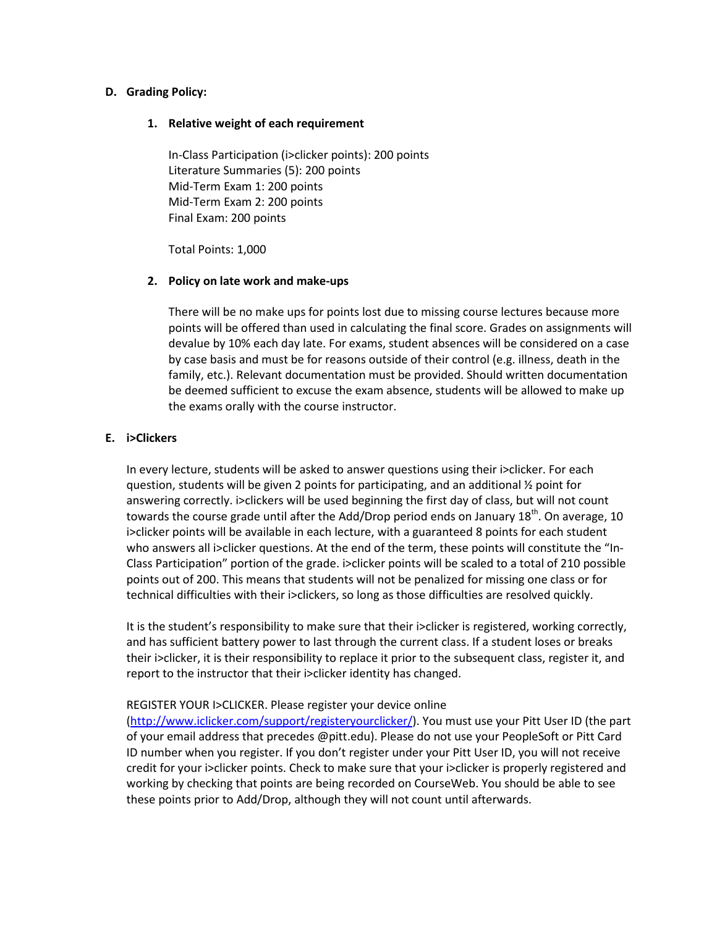### **D. Grading Policy:**

### **1. Relative weight of each requirement**

In-Class Participation (i>clicker points): 200 points Literature Summaries (5): 200 points Mid-Term Exam 1: 200 points Mid-Term Exam 2: 200 points Final Exam: 200 points

Total Points: 1,000

### **2. Policy on late work and make-ups**

There will be no make ups for points lost due to missing course lectures because more points will be offered than used in calculating the final score. Grades on assignments will devalue by 10% each day late. For exams, student absences will be considered on a case by case basis and must be for reasons outside of their control (e.g. illness, death in the family, etc.). Relevant documentation must be provided. Should written documentation be deemed sufficient to excuse the exam absence, students will be allowed to make up the exams orally with the course instructor.

### **E. i>Clickers**

In every lecture, students will be asked to answer questions using their i>clicker. For each question, students will be given 2 points for participating, and an additional ½ point for answering correctly. i>clickers will be used beginning the first day of class, but will not count towards the course grade until after the Add/Drop period ends on January 18<sup>th</sup>. On average, 10 i>clicker points will be available in each lecture, with a guaranteed 8 points for each student who answers all i>clicker questions. At the end of the term, these points will constitute the "In-Class Participation" portion of the grade. i>clicker points will be scaled to a total of 210 possible points out of 200. This means that students will not be penalized for missing one class or for technical difficulties with their i>clickers, so long as those difficulties are resolved quickly.

It is the student's responsibility to make sure that their i>clicker is registered, working correctly, and has sufficient battery power to last through the current class. If a student loses or breaks their i>clicker, it is their responsibility to replace it prior to the subsequent class, register it, and report to the instructor that their i>clicker identity has changed.

# REGISTER YOUR I>CLICKER. Please register your device online

[\(http://www.iclicker.com/support/registeryourclicker/\)](http://www.iclicker.com/support/registeryourclicker/). You must use your Pitt User ID (the part of your email address that precedes @pitt.edu). Please do not use your PeopleSoft or Pitt Card ID number when you register. If you don't register under your Pitt User ID, you will not receive credit for your i>clicker points. Check to make sure that your i>clicker is properly registered and working by checking that points are being recorded on CourseWeb. You should be able to see these points prior to Add/Drop, although they will not count until afterwards.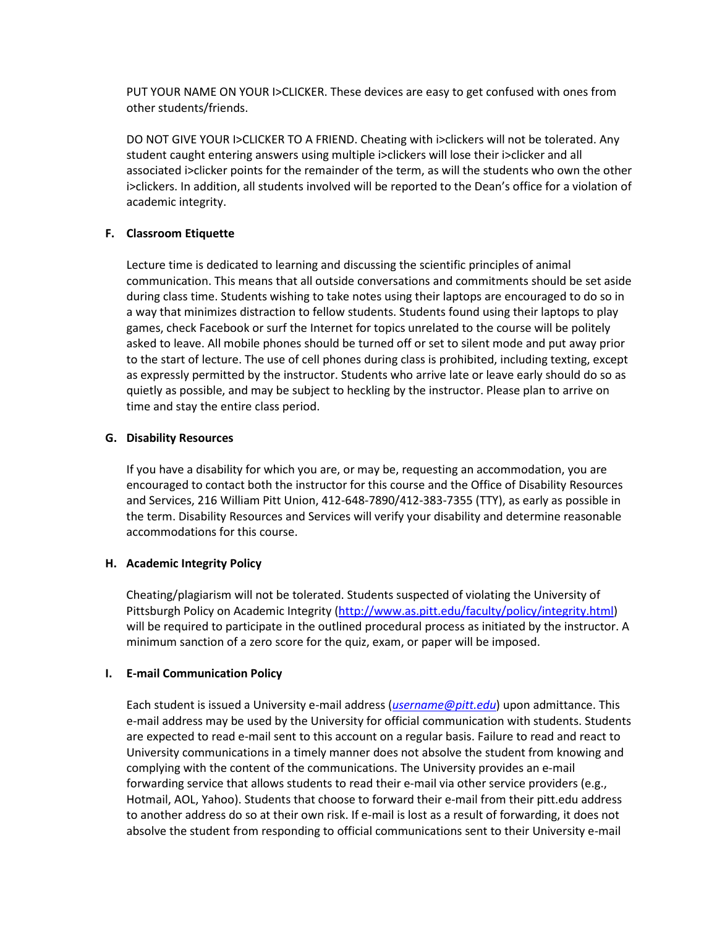PUT YOUR NAME ON YOUR I>CLICKER. These devices are easy to get confused with ones from other students/friends.

DO NOT GIVE YOUR I>CLICKER TO A FRIEND. Cheating with i>clickers will not be tolerated. Any student caught entering answers using multiple i>clickers will lose their i>clicker and all associated i>clicker points for the remainder of the term, as will the students who own the other i>clickers. In addition, all students involved will be reported to the Dean's office for a violation of academic integrity.

# **F. Classroom Etiquette**

Lecture time is dedicated to learning and discussing the scientific principles of animal communication. This means that all outside conversations and commitments should be set aside during class time. Students wishing to take notes using their laptops are encouraged to do so in a way that minimizes distraction to fellow students. Students found using their laptops to play games, check Facebook or surf the Internet for topics unrelated to the course will be politely asked to leave. All mobile phones should be turned off or set to silent mode and put away prior to the start of lecture. The use of cell phones during class is prohibited, including texting, except as expressly permitted by the instructor. Students who arrive late or leave early should do so as quietly as possible, and may be subject to heckling by the instructor. Please plan to arrive on time and stay the entire class period.

# **G. Disability Resources**

If you have a disability for which you are, or may be, requesting an accommodation, you are encouraged to contact both the instructor for this course and the Office of Disability Resources and Services, 216 William Pitt Union, 412-648-7890/412-383-7355 (TTY), as early as possible in the term. Disability Resources and Services will verify your disability and determine reasonable accommodations for this course.

# **H. Academic Integrity Policy**

Cheating/plagiarism will not be tolerated. Students suspected of violating the University of Pittsburgh Policy on Academic Integrity [\(http://www.as.pitt.edu/faculty/policy/integrity.html\)](http://www.as.pitt.edu/faculty/policy/integrity.html) will be required to participate in the outlined procedural process as initiated by the instructor. A minimum sanction of a zero score for the quiz, exam, or paper will be imposed.

# **I. E-mail Communication Policy**

Each student is issued a University e-mail address (*[username@pitt.edu](mailto:username@pitt.edu)*) upon admittance. This e-mail address may be used by the University for official communication with students. Students are expected to read e-mail sent to this account on a regular basis. Failure to read and react to University communications in a timely manner does not absolve the student from knowing and complying with the content of the communications. The University provides an e-mail forwarding service that allows students to read their e-mail via other service providers (e.g., Hotmail, AOL, Yahoo). Students that choose to forward their e-mail from their pitt.edu address to another address do so at their own risk. If e-mail is lost as a result of forwarding, it does not absolve the student from responding to official communications sent to their University e-mail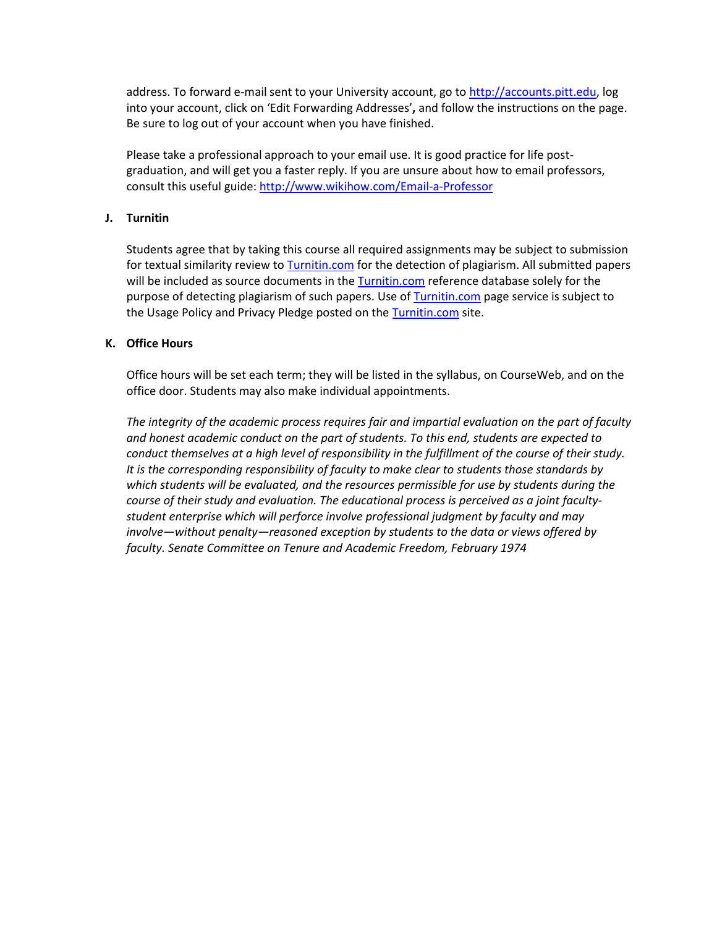address. To forward e-mail sent to your University account, go to [http://accounts.pitt.edu,](http://accounts.pitt.edu/) log into your account, click on 'Edit Forwarding Addresses'**,** and follow the instructions on the page. Be sure to log out of your account when you have finished.

Please take a professional approach to your email use. It is good practice for life postgraduation, and will get you a faster reply. If you are unsure about how to email professors, consult this useful guide[: http://www.wikihow.com/Email-a-Professor](http://www.wikihow.com/Email-a-Professor)

### **J. Turnitin**

Students agree that by taking this course all required assignments may be subject to submission for textual similarity review to [Turnitin.com](http://www.turnitin.com/) for the detection of plagiarism. All submitted papers will be included as source documents in th[e Turnitin.com](http://www.turnitin.com/) reference database solely for the purpose of detecting plagiarism of such papers. Use of [Turnitin.com](http://www.turnitin.com/) page service is subject to the Usage Policy and Privacy Pledge posted on the [Turnitin.com](http://www.turnitin.com/) site.

### **K. Office Hours**

Office hours will be set each term; they will be listed in the syllabus, on CourseWeb, and on the office door. Students may also make individual appointments.

*The integrity of the academic process requires fair and impartial evaluation on the part of faculty and honest academic conduct on the part of students. To this end, students are expected to conduct themselves at a high level of responsibility in the fulfillment of the course of their study. It is the corresponding responsibility of faculty to make clear to students those standards by which students will be evaluated, and the resources permissible for use by students during the course of their study and evaluation. The educational process is perceived as a joint facultystudent enterprise which will perforce involve professional judgment by faculty and may involve—without penalty—reasoned exception by students to the data or views offered by faculty. Senate Committee on Tenure and Academic Freedom, February 1974*